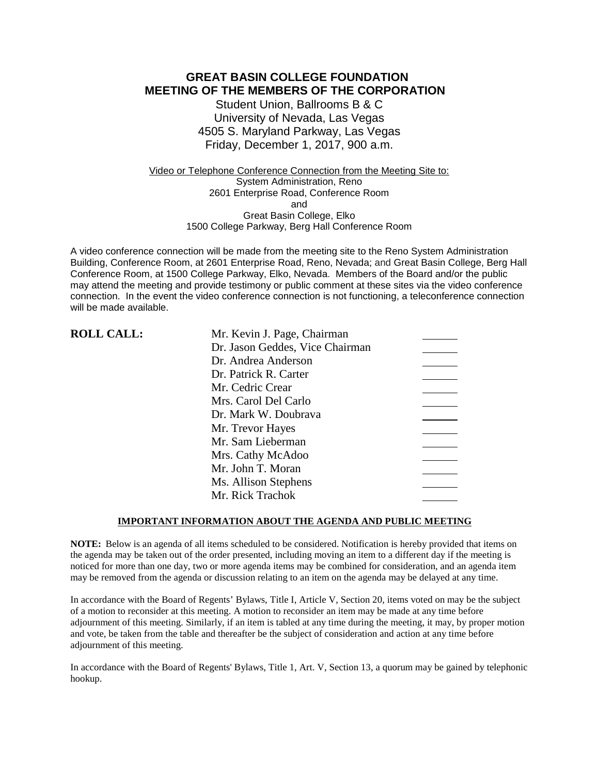### **GREAT BASIN COLLEGE FOUNDATION MEETING OF THE MEMBERS OF THE CORPORATION**

Student Union, Ballrooms B & C University of Nevada, Las Vegas 4505 S. Maryland Parkway, Las Vegas Friday, December 1, 2017, 900 a.m.

Video or Telephone Conference Connection from the Meeting Site to: System Administration, Reno 2601 Enterprise Road, Conference Room and Great Basin College, Elko 1500 College Parkway, Berg Hall Conference Room

A video conference connection will be made from the meeting site to the Reno System Administration Building, Conference Room, at 2601 Enterprise Road, Reno, Nevada; and Great Basin College, Berg Hall Conference Room, at 1500 College Parkway, Elko, Nevada. Members of the Board and/or the public may attend the meeting and provide testimony or public comment at these sites via the video conference connection. In the event the video conference connection is not functioning, a teleconference connection will be made available.

| <b>ROLL CALL:</b> | Mr. Kevin J. Page, Chairman     |  |
|-------------------|---------------------------------|--|
|                   | Dr. Jason Geddes, Vice Chairman |  |
|                   | Dr. Andrea Anderson             |  |
|                   | Dr. Patrick R. Carter           |  |
|                   | Mr. Cedric Crear                |  |
|                   | Mrs. Carol Del Carlo            |  |
|                   | Dr. Mark W. Doubrava            |  |
|                   | Mr. Trevor Hayes                |  |
|                   | Mr. Sam Lieberman               |  |
|                   | Mrs. Cathy McAdoo               |  |
|                   | Mr. John T. Moran               |  |
|                   | Ms. Allison Stephens            |  |
|                   | Mr. Rick Trachok                |  |

### **IMPORTANT INFORMATION ABOUT THE AGENDA AND PUBLIC MEETING**

**NOTE:** Below is an agenda of all items scheduled to be considered. Notification is hereby provided that items on the agenda may be taken out of the order presented, including moving an item to a different day if the meeting is noticed for more than one day, two or more agenda items may be combined for consideration, and an agenda item may be removed from the agenda or discussion relating to an item on the agenda may be delayed at any time.

In accordance with the Board of Regents' Bylaws, Title I, Article V, Section 20, items voted on may be the subject of a motion to reconsider at this meeting. A motion to reconsider an item may be made at any time before adjournment of this meeting. Similarly, if an item is tabled at any time during the meeting, it may, by proper motion and vote, be taken from the table and thereafter be the subject of consideration and action at any time before adjournment of this meeting.

In accordance with the Board of Regents' Bylaws, Title 1, Art. V, Section 13, a quorum may be gained by telephonic hookup.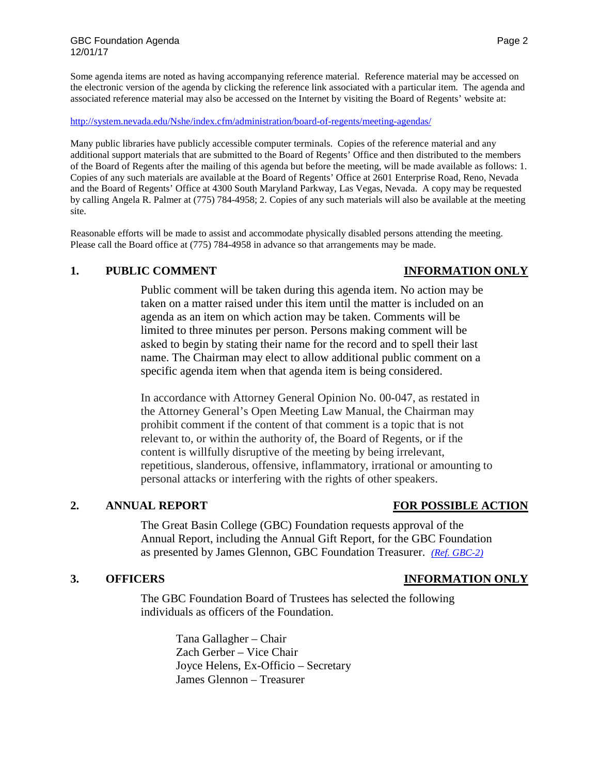Some agenda items are noted as having accompanying reference material. Reference material may be accessed on the electronic version of the agenda by clicking the reference link associated with a particular item. The agenda and associated reference material may also be accessed on the Internet by visiting the Board of Regents' website at:

<http://system.nevada.edu/Nshe/index.cfm/administration/board-of-regents/meeting-agendas/>

Many public libraries have publicly accessible computer terminals. Copies of the reference material and any additional support materials that are submitted to the Board of Regents' Office and then distributed to the members of the Board of Regents after the mailing of this agenda but before the meeting, will be made available as follows: 1. Copies of any such materials are available at the Board of Regents' Office at 2601 Enterprise Road, Reno, Nevada and the Board of Regents' Office at 4300 South Maryland Parkway, Las Vegas, Nevada. A copy may be requested by calling Angela R. Palmer at (775) 784-4958; 2. Copies of any such materials will also be available at the meeting site.

Reasonable efforts will be made to assist and accommodate physically disabled persons attending the meeting. Please call the Board office at (775) 784-4958 in advance so that arrangements may be made.

# **1. PUBLIC COMMENT INFORMATION ONLY**

Public comment will be taken during this agenda item. No action may be taken on a matter raised under this item until the matter is included on an agenda as an item on which action may be taken. Comments will be limited to three minutes per person. Persons making comment will be asked to begin by stating their name for the record and to spell their last name. The Chairman may elect to allow additional public comment on a specific agenda item when that agenda item is being considered.

In accordance with Attorney General Opinion No. 00-047, as restated in the Attorney General's Open Meeting Law Manual, the Chairman may prohibit comment if the content of that comment is a topic that is not relevant to, or within the authority of, the Board of Regents, or if the content is willfully disruptive of the meeting by being irrelevant, repetitious, slanderous, offensive, inflammatory, irrational or amounting to personal attacks or interfering with the rights of other speakers.

# **2. ANNUAL REPORT FOR POSSIBLE ACTION**

The Great Basin College (GBC) Foundation requests approval of the Annual Report, including the Annual Gift Report, for the GBC Foundation as presented by James Glennon, GBC Foundation Treasurer. *[\(Ref. GBC-2\)](https://nshe.nevada.edu/wp-content/uploads/file/BoardOfRegents/Agendas/2017/nov-mtgs/foundation-refs/gbc/GBC-2.pdf)*

### **3. OFFICERS INFORMATION ONLY**

The GBC Foundation Board of Trustees has selected the following individuals as officers of the Foundation.

> Tana Gallagher – Chair Zach Gerber – Vice Chair Joyce Helens, Ex-Officio – Secretary James Glennon – Treasurer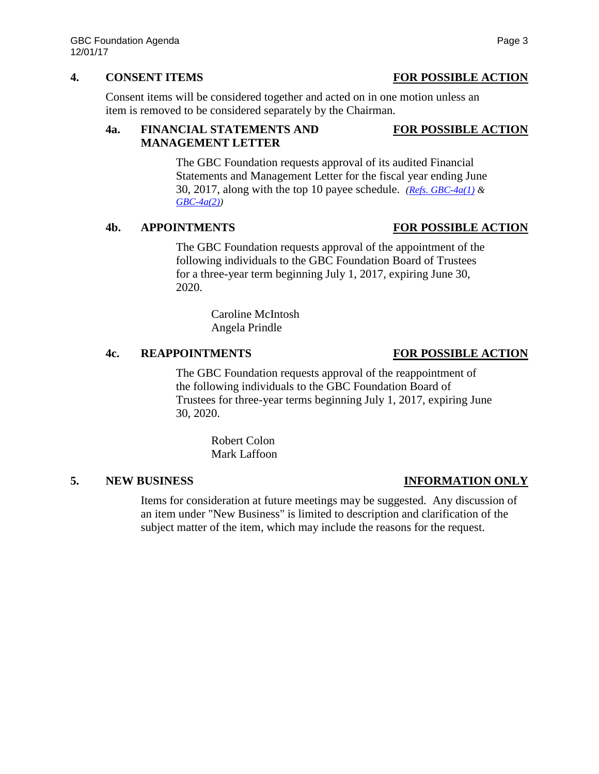### **4. CONSENT ITEMS FOR POSSIBLE ACTION**

Consent items will be considered together and acted on in one motion unless an item is removed to be considered separately by the Chairman.

# **4a. FINANCIAL STATEMENTS AND FOR POSSIBLE ACTION MANAGEMENT LETTER**

The GBC Foundation requests approval of its audited Financial Statements and Management Letter for the fiscal year ending June 30, 2017, along with the top 10 payee schedule. *[\(Refs. GBC-4a\(1\)](https://nshe.nevada.edu/wp-content/uploads/file/BoardOfRegents/Agendas/2017/nov-mtgs/foundation-refs/gbc/GBC-4a(1).pdf) & [GBC-4a\(2\)\)](https://nshe.nevada.edu/wp-content/uploads/file/BoardOfRegents/Agendas/2017/nov-mtgs/foundation-refs/gbc/GBC-4a(2).pdf)*

### **4b. APPOINTMENTS FOR POSSIBLE ACTION**

The GBC Foundation requests approval of the appointment of the following individuals to the GBC Foundation Board of Trustees for a three-year term beginning July 1, 2017, expiring June 30, 2020.

> Caroline McIntosh Angela Prindle

### **4c. REAPPOINTMENTS FOR POSSIBLE ACTION**

The GBC Foundation requests approval of the reappointment of the following individuals to the GBC Foundation Board of Trustees for three-year terms beginning July 1, 2017, expiring June 30, 2020.

> Robert Colon Mark Laffoon

## **5. NEW BUSINESS INFORMATION ONLY**

Items for consideration at future meetings may be suggested. Any discussion of an item under "New Business" is limited to description and clarification of the subject matter of the item, which may include the reasons for the request.